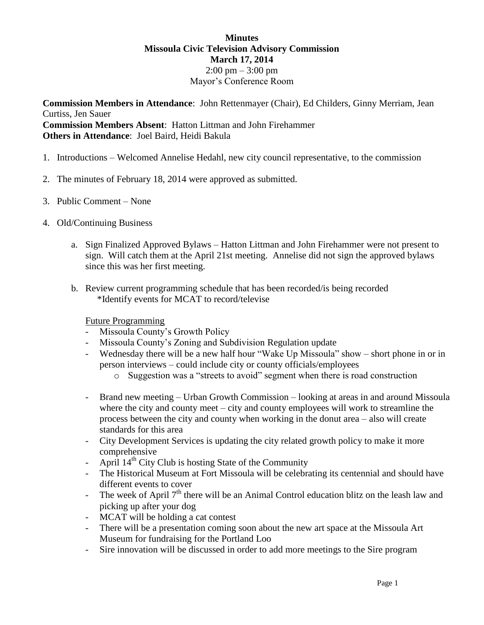## **Minutes Missoula Civic Television Advisory Commission March 17, 2014**  $2:00 \text{ pm} - 3:00 \text{ pm}$ Mayor's Conference Room

**Commission Members in Attendance**: John Rettenmayer (Chair), Ed Childers, Ginny Merriam, Jean Curtiss, Jen Sauer **Commission Members Absent**: Hatton Littman and John Firehammer **Others in Attendance**: Joel Baird, Heidi Bakula

- 1. Introductions Welcomed Annelise Hedahl, new city council representative, to the commission
- 2. The minutes of February 18, 2014 were approved as submitted.
- 3. Public Comment None
- 4. Old/Continuing Business
	- a. Sign Finalized Approved Bylaws Hatton Littman and John Firehammer were not present to sign. Will catch them at the April 21st meeting. Annelise did not sign the approved bylaws since this was her first meeting.
	- b. Review current programming schedule that has been recorded/is being recorded \*Identify events for MCAT to record/televise

## Future Programming

- Missoula County's Growth Policy
- Missoula County's Zoning and Subdivision Regulation update
- Wednesday there will be a new half hour "Wake Up Missoula" show short phone in or in person interviews – could include city or county officials/employees
	- o Suggestion was a "streets to avoid" segment when there is road construction
- Brand new meeting Urban Growth Commission looking at areas in and around Missoula where the city and county meet – city and county employees will work to streamline the process between the city and county when working in the donut area – also will create standards for this area
- City Development Services is updating the city related growth policy to make it more comprehensive
- April  $14<sup>th</sup>$  City Club is hosting State of the Community
- The Historical Museum at Fort Missoula will be celebrating its centennial and should have different events to cover
- The week of April  $7<sup>th</sup>$  there will be an Animal Control education blitz on the leash law and picking up after your dog
- MCAT will be holding a cat contest
- There will be a presentation coming soon about the new art space at the Missoula Art Museum for fundraising for the Portland Loo
- Sire innovation will be discussed in order to add more meetings to the Sire program